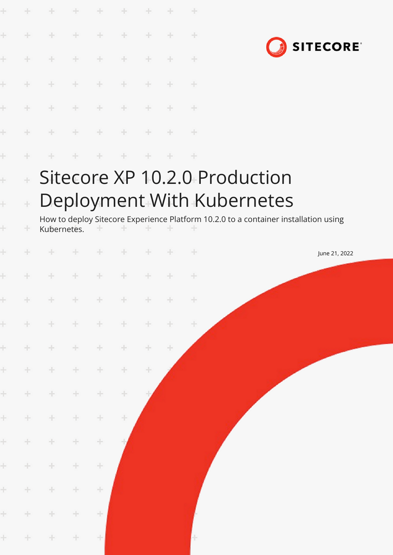|                          | ÷<br>÷<br>÷.<br>÷ | ÷<br>÷<br>÷<br>$+$<br>$+$ | ÷<br>÷<br>$+$<br>$+$<br>$+$ | ÷<br>÷<br>÷<br>$+$<br>$+$ | ÷<br>÷<br>÷<br>$+$<br>$+$ | ÷<br>÷<br>÷<br>$+$ | ÷<br>÷<br>$+$ | $+$<br>÷<br>÷<br>÷<br>$+$                                                                                                                                        |  |  |               | <b>SITECORE</b> |  |
|--------------------------|-------------------|---------------------------|-----------------------------|---------------------------|---------------------------|--------------------|---------------|------------------------------------------------------------------------------------------------------------------------------------------------------------------|--|--|---------------|-----------------|--|
| Ł<br>÷                   | ÷                 | ÷                         | $+$                         | $+$                       | $+$                       | $+$                | $+$           | $\frac{1}{2}$                                                                                                                                                    |  |  |               |                 |  |
| ÷<br>ł<br>$\ddot{}$<br>÷ | ÷<br>÷<br>÷<br>÷  | ÷<br>Kubernetes.          | ÷                           | $+$<br>÷                  | ÷<br>$\rightarrow$        | $+$                | ÷             | $+$<br>Sitecore XP 10.2.0 Production<br>Deployment With Kubernetes<br>How to deploy Sitecore Experience Platform 10.2.0 to a container installation using<br>$+$ |  |  |               |                 |  |
|                          | ÷                 |                           |                             | ÷                         | ÷                         | ÷                  | ÷             | $+$                                                                                                                                                              |  |  | June 21, 2022 |                 |  |
| Ł                        |                   | ÷                         | ÷                           | ÷.                        | $+$                       | ÷                  | ÷             | $+$                                                                                                                                                              |  |  |               |                 |  |
| ÷.                       | $\pm$             | $+$                       | $\pm$                       | $+$                       | $\pm$                     | $+$                | 十             | $\pm$                                                                                                                                                            |  |  |               |                 |  |
| ÷.                       | $+$               | $+$                       | $+$                         | ÷                         | $\div$                    | $\pm$              | ÷             | ÷                                                                                                                                                                |  |  |               |                 |  |
| ÷.<br>$\pm$              | $+$<br>$+$        | $+$<br>÷                  | $+$<br>$+$                  | ÷<br>÷                    | ÷<br>$+$                  | $+ \,$<br>÷        | ÷             |                                                                                                                                                                  |  |  |               |                 |  |
| $\pm$                    | ÷                 | $\div$                    | $\pm$                       | $\div$                    | $\div$                    |                    |               |                                                                                                                                                                  |  |  |               |                 |  |
| $\pm$                    | ÷                 | $\div$                    | ÷.                          | ÷                         | ÷                         |                    |               |                                                                                                                                                                  |  |  |               |                 |  |
| $\pm$                    | ÷                 | $\pm$                     | ÷                           | ÷                         |                           |                    |               |                                                                                                                                                                  |  |  |               |                 |  |
| $\pm$                    | $+$               | $\pm$                     | ÷                           | $\div$                    |                           |                    |               |                                                                                                                                                                  |  |  |               |                 |  |
| $\pm$                    | $\pm$             | $\pm$                     | ÷.                          | ÷                         |                           |                    |               |                                                                                                                                                                  |  |  |               |                 |  |
| ÷.                       | $+$               | $\div$                    | $\pm$                       | ÷                         |                           |                    |               |                                                                                                                                                                  |  |  |               |                 |  |
| ÷.                       | ÷                 | $\div$                    | ÷                           | ÷                         |                           |                    |               |                                                                                                                                                                  |  |  |               |                 |  |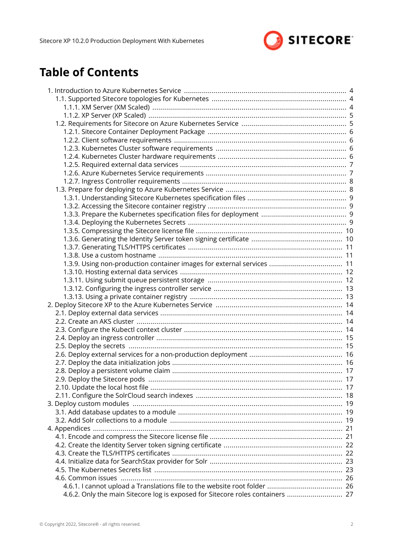

# **Table of Contents**

| 4.6.2. Only the main Sitecore log is exposed for Sitecore roles containers  27 |  |
|--------------------------------------------------------------------------------|--|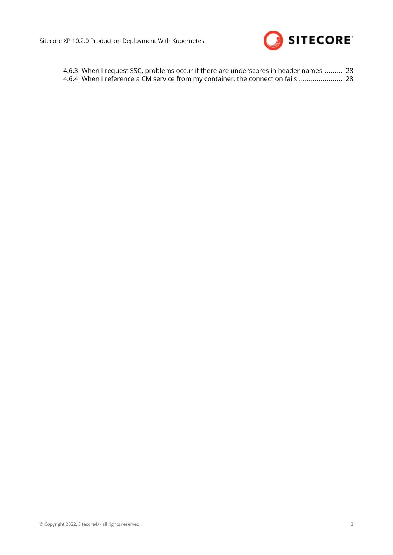

| 4.6.3. When I request SSC, problems occur if there are underscores in header names  28 |  |
|----------------------------------------------------------------------------------------|--|
| 4.6.4. When I reference a CM service from my container, the connection fails  28       |  |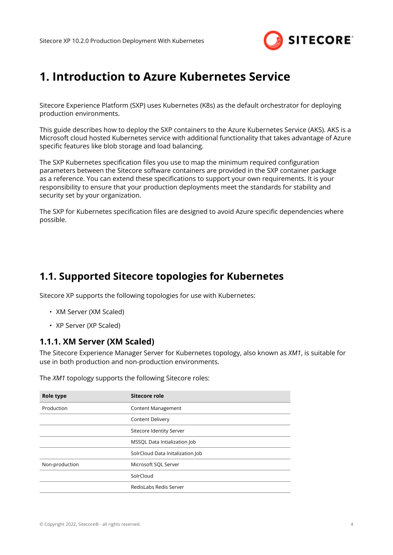

# <span id="page-3-0"></span>**1. Introduction to Azure Kubernetes Service**

Sitecore Experience Platform (SXP) uses Kubernetes (K8s) as the default orchestrator for deploying production environments.

This guide describes how to deploy the SXP containers to the Azure Kubernetes Service (AKS). AKS is a Microsoft cloud hosted Kubernetes service with additional functionality that takes advantage of Azure specific features like blob storage and load balancing.

The SXP Kubernetes specification files you use to map the minimum required configuration parameters between the Sitecore software containers are provided in the SXP container package as a reference. You can extend these specifications to support your own requirements. It is your responsibility to ensure that your production deployments meet the standards for stability and security set by your organization.

The SXP for Kubernetes specification files are designed to avoid Azure specific dependencies where possible.

## **1.1. Supported Sitecore topologies for Kubernetes**

Sitecore XP supports the following topologies for use with Kubernetes:

- XM Server (XM Scaled)
- XP Server (XP Scaled)

#### **1.1.1. XM Server (XM Scaled)**

The Sitecore Experience Manager Server for Kubernetes topology, also known as *XM1*, is suitable for use in both production and non-production environments.

The *XM1* topology supports the following Sitecore roles:

| Role type      | Sitecore role                    |
|----------------|----------------------------------|
| Production     | <b>Content Management</b>        |
|                | Content Delivery                 |
|                | Sitecore Identity Server         |
|                | MSSQL Data Intialization Job     |
|                | SolrCloud Data Initalization Job |
| Non-production | Microsoft SQL Server             |
|                | SolrCloud                        |
|                | RedisLabs Redis Server           |
|                |                                  |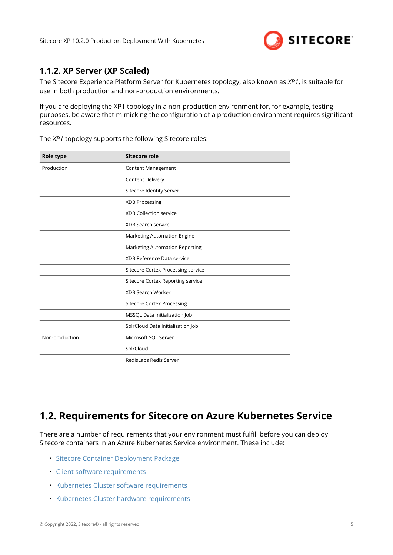

### <span id="page-4-0"></span>**1.1.2. XP Server (XP Scaled)**

The Sitecore Experience Platform Server for Kubernetes topology, also known as *XP1*, is suitable for use in both production and non-production environments.

If you are deploying the XP1 topology in a non-production environment for, for example, testing purposes, be aware that mimicking the configuration of a production environment requires significant resources.

The *XP1* topology supports the following Sitecore roles:

| <b>Role type</b> | Sitecore role                      |
|------------------|------------------------------------|
| Production       | Content Management                 |
|                  | Content Delivery                   |
|                  | Sitecore Identity Server           |
|                  | <b>XDB Processing</b>              |
|                  | <b>XDB Collection service</b>      |
|                  | <b>XDB Search service</b>          |
|                  | Marketing Automation Engine        |
|                  | Marketing Automation Reporting     |
|                  | XDB Reference Data service         |
|                  | Sitecore Cortex Processing service |
|                  | Sitecore Cortex Reporting service  |
|                  | <b>XDB Search Worker</b>           |
|                  | <b>Sitecore Cortex Processing</b>  |
|                  | MSSQL Data Initialization Job      |
|                  | SolrCloud Data Initialization Job  |
| Non-production   | Microsoft SQL Server               |
|                  | SolrCloud                          |
|                  | RedisLabs Redis Server             |

# **1.2. Requirements for Sitecore on Azure Kubernetes Service**

There are a number of requirements that your environment must fulfill before you can deploy Sitecore containers in an Azure Kubernetes Service environment. These include:

- [Sitecore Container Deployment Package](#page-5-0)
- [Client software requirements](#page-5-0)
- [Kubernetes Cluster software requirements](#page-5-0)
- [Kubernetes Cluster hardware requirements](#page-5-0)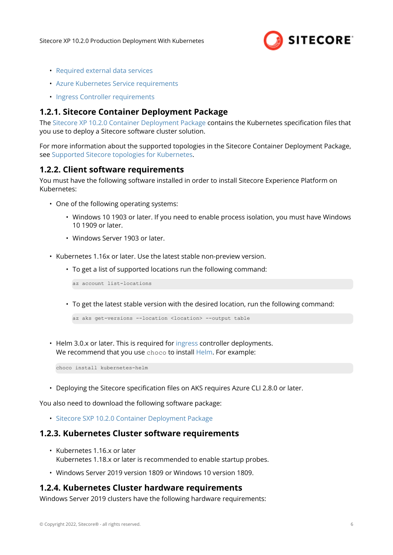

- <span id="page-5-0"></span>• [Required external data services](#page-6-0)
- [Azure Kubernetes Service requirements](#page-6-0)
- [Ingress Controller requirements](#page-7-0)

#### **1.2.1. Sitecore Container Deployment Package**

The [Sitecore XP 10.2.0 Container Deployment Package](https://dev.sitecore.net/downloads) contains the Kubernetes specification files that you use to deploy a Sitecore software cluster solution.

For more information about the supported topologies in the Sitecore Container Deployment Package, see [Supported Sitecore topologies for Kubernetes.](#page-3-0)

### **1.2.2. Client software requirements**

You must have the following software installed in order to install Sitecore Experience Platform on Kubernetes:

- One of the following operating systems:
	- Windows 10 1903 or later. If you need to enable process isolation, you must have Windows 10 1909 or later.
	- Windows Server 1903 or later.
- Kubernetes 1.16x or later. Use the latest stable non-preview version.
	- To get a list of supported locations run the following command:

az account list-locations

• To get the latest stable version with the desired location, run the following command:

```
az aks get-versions --location <location> --output table
```
• Helm 3.0.x or later. This is required for [ingress](https://docs.microsoft.com/en-us/azure/aks/ingress-basic) controller deployments. We recommend that you use choco to install [Helm.](https://helm.sh/docs/intro/install/) For example:

choco install kubernetes-helm

• Deploying the Sitecore specification files on AKS requires Azure CLI 2.8.0 or later.

You also need to download the following software package:

• [Sitecore SXP 10.2.0 Container Deployment Package](https://dev.sitecore.net/Downloads/Sitecore_Experience_Platform.aspx)

#### **1.2.3. Kubernetes Cluster software requirements**

- Kubernetes 1.16.x or later Kubernetes 1.18.x or later is recommended to enable startup probes.
- Windows Server 2019 version 1809 or Windows 10 version 1809.

#### **1.2.4. Kubernetes Cluster hardware requirements**

Windows Server 2019 clusters have the following hardware requirements: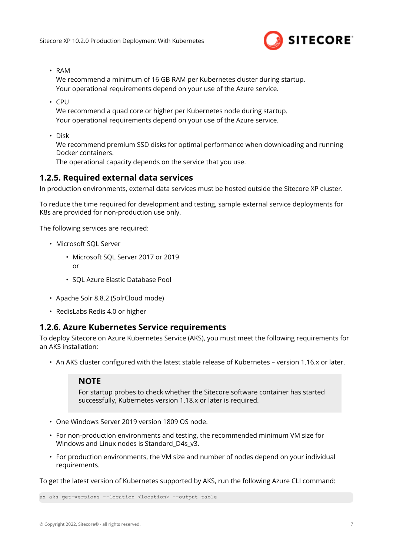

<span id="page-6-0"></span>• RAM

We recommend a minimum of 16 GB RAM per Kubernetes cluster during startup. Your operational requirements depend on your use of the Azure service.

 $\cdot$  CPU

We recommend a quad core or higher per Kubernetes node during startup. Your operational requirements depend on your use of the Azure service.

• Disk

We recommend premium SSD disks for optimal performance when downloading and running Docker containers.

The operational capacity depends on the service that you use.

### **1.2.5. Required external data services**

In production environments, external data services must be hosted outside the Sitecore XP cluster.

To reduce the time required for development and testing, sample external service deployments for K8s are provided for non-production use only.

The following services are required:

- Microsoft SQL Server
	- Microsoft SQL Server 2017 or 2019 or
	- SQL Azure Elastic Database Pool
- Apache Solr 8.8.2 (SolrCloud mode)
- RedisLabs Redis 4.0 or higher

### **1.2.6. Azure Kubernetes Service requirements**

To deploy Sitecore on Azure Kubernetes Service (AKS), you must meet the following requirements for an AKS installation:

• An AKS cluster configured with the latest stable release of Kubernetes – version 1.16.x or later.

#### **NOTE**

For startup probes to check whether the Sitecore software container has started successfully, Kubernetes version 1.18.x or later is required.

- One Windows Server 2019 version 1809 OS node.
- For non-production environments and testing, the recommended minimum VM size for Windows and Linux nodes is Standard D4s v3.
- For production environments, the VM size and number of nodes depend on your individual requirements.

To get the latest version of Kubernetes supported by AKS, run the following Azure CLI command:

az aks get-versions --location <location> --output table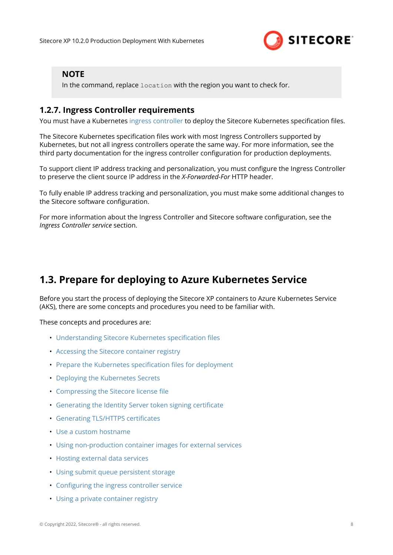

### <span id="page-7-0"></span>**NOTE**

In the command, replace location with the region you want to check for.

### **1.2.7. Ingress Controller requirements**

You must have a Kubernetes [ingress controller](https://docs.microsoft.com/en-us/azure/aks/ingress-basic) to deploy the Sitecore Kubernetes specification files.

The Sitecore Kubernetes specification files work with most Ingress Controllers supported by Kubernetes, but not all ingress controllers operate the same way. For more information, see the third party documentation for the ingress controller configuration for production deployments.

To support client IP address tracking and personalization, you must configure the Ingress Controller to preserve the client source IP address in the *X-Forwarded-For* HTTP header.

To fully enable IP address tracking and personalization, you must make some additional changes to the Sitecore software configuration.

For more information about the Ingress Controller and Sitecore software configuration, see the *Ingress Controller service* section.

# **1.3. Prepare for deploying to Azure Kubernetes Service**

Before you start the process of deploying the Sitecore XP containers to Azure Kubernetes Service (AKS), there are some concepts and procedures you need to be familiar with.

These concepts and procedures are:

- [Understanding Sitecore Kubernetes specification](#page-8-0) files
- [Accessing the Sitecore container registry](#page-8-0)
- [Prepare the Kubernetes specification](#page-8-0) files for deployment
- [Deploying the Kubernetes Secrets](#page-8-0)
- [Compressing the Sitecore license file](#page-9-0)
- [Generating the Identity Server token signing certificate](#page-9-0)
- [Generating TLS/HTTPS certificates](#page-10-0)
- [Use a custom hostname](#page-10-0)
- [Using non-production container images for external services](#page-10-0)
- [Hosting external data services](#page-11-0)
- [Using submit queue persistent storage](#page-11-0)
- [Configuring the ingress controller service](#page-12-0)
- [Using a private container registry](#page-12-0)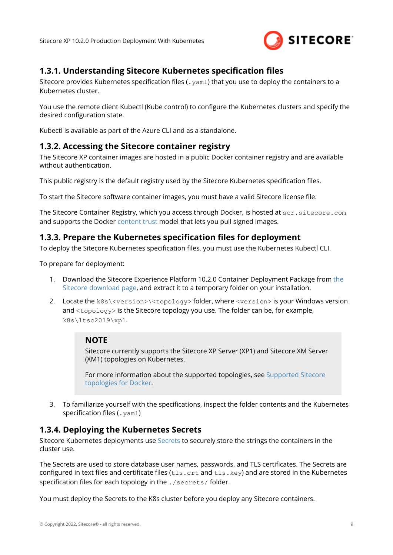

### <span id="page-8-0"></span>**1.3.1. Understanding Sitecore Kubernetes specification files**

Sitecore provides Kubernetes specification files (. yam1) that you use to deploy the containers to a Kubernetes cluster.

You use the remote client Kubectl (Kube control) to configure the Kubernetes clusters and specify the desired configuration state.

Kubectl is available as part of the Azure CLI and as a standalone.

### **1.3.2. Accessing the Sitecore container registry**

The Sitecore XP container images are hosted in a public Docker container registry and are available without authentication.

This public registry is the default registry used by the Sitecore Kubernetes specification files.

To start the Sitecore software container images, you must have a valid Sitecore license file.

The Sitecore Container Registry, which you access through Docker, is hosted at scr.sitecore.com and supports the Docker [content trust](https://docs.docker.com/engine/security/trust/content_trust) model that lets you pull signed images.

### **1.3.3. Prepare the Kubernetes specification files for deployment**

To deploy the Sitecore Kubernetes specification files, you must use the Kubernetes Kubectl CLI.

To prepare for deployment:

- 1. Download the Sitecore Experience Platform 10.2.0 Container Deployment Package from [the](https://dev.sitecore.net/Downloads/Sitecore_Experience_Platform.aspx) [Sitecore download page,](https://dev.sitecore.net/Downloads/Sitecore_Experience_Platform.aspx) and extract it to a temporary folder on your installation.
- 2. Locate the k8s\<version>\<topology> folder, where <version> is your Windows version and <topology> is the Sitecore topology you use. The folder can be, for example, k8s\ltsc2019\xp1.

### **NOTE**

Sitecore currently supports the Sitecore XP Server (XP1) and Sitecore XM Server (XM1) topologies on Kubernetes.

For more information about the supported topologies, see Supported Sitecore topologies for Docker.

3. To familiarize yourself with the specifications, inspect the folder contents and the Kubernetes specification files (. yaml)

### **1.3.4. Deploying the Kubernetes Secrets**

Sitecore Kubernetes deployments use [Secrets](https://kubernetes.io/docs/concepts/configuration/secret/) to securely store the strings the containers in the cluster use.

The Secrets are used to store database user names, passwords, and TLS certificates. The Secrets are configured in text files and certificate files (tls.crt and tls.key) and are stored in the Kubernetes specification files for each topology in the ./secrets/ folder.

You must deploy the Secrets to the K8s cluster before you deploy any Sitecore containers.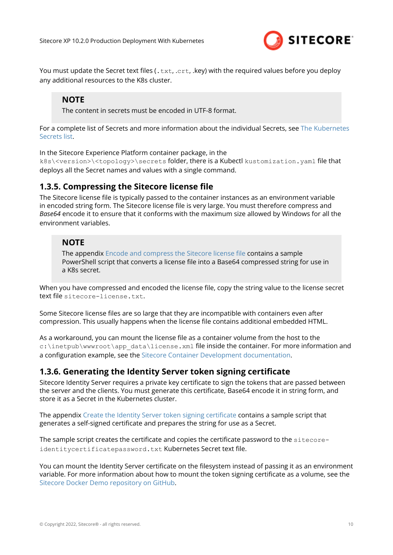

<span id="page-9-0"></span>You must update the Secret text files (.txt, .crt, .key) with the required values before you deploy any additional resources to the K8s cluster.

### **NOTE**

The content in secrets must be encoded in UTF-8 format.

For a complete list of Secrets and more information about the individual Secrets, see [The Kubernetes](#page-22-0) [Secrets list.](#page-22-0)

In the Sitecore Experience Platform container package, in the

k8s\<version>\<topology>\secrets folder, there is a Kubectl kustomization.yaml file that deploys all the Secret names and values with a single command.

### **1.3.5. Compressing the Sitecore license file**

The Sitecore license file is typically passed to the container instances as an environment variable in encoded string form. The Sitecore license file is very large. You must therefore compress and *Base64* encode it to ensure that it conforms with the maximum size allowed by Windows for all the environment variables.

### **NOTE**

The appendix [Encode and compress the Sitecore license file](#page-20-0) contains a sample PowerShell script that converts a license file into a Base64 compressed string for use in a K8s secret.

When you have compressed and encoded the license file, copy the string value to the license secret text file sitecore-license.txt.

Some Sitecore license files are so large that they are incompatible with containers even after compression. This usually happens when the license file contains additional embedded HTML.

As a workaround, you can mount the license file as a container volume from the host to the c:\inetpub\wwwroot\app\_data\license.xml file inside the container. For more information and a configuration example, see the [Sitecore Container Development documentation](https://doc.sitecore.com/developers/102/developer-tools/en/run-your-first-sitecore-instance.html).

### **1.3.6. Generating the Identity Server token signing certificate**

Sitecore Identity Server requires a private key certificate to sign the tokens that are passed between the server and the clients. You must generate this certificate, Base64 encode it in string form, and store it as a Secret in the Kubernetes cluster.

The appendix [Create the Identity Server token signing certificate](#page-21-0) contains a sample script that generates a self-signed certificate and prepares the string for use as a Secret.

The sample script creates the certificate and copies the certificate password to the sitecoreidentitycertificatepassword.txt Kubernetes Secret text file.

You can mount the Identity Server certificate on the filesystem instead of passing it as an environment variable. For more information about how to mount the token signing certificate as a volume, see the [Sitecore Docker Demo repository on GitHub.](https://github.com/Sitecore/docker-demo)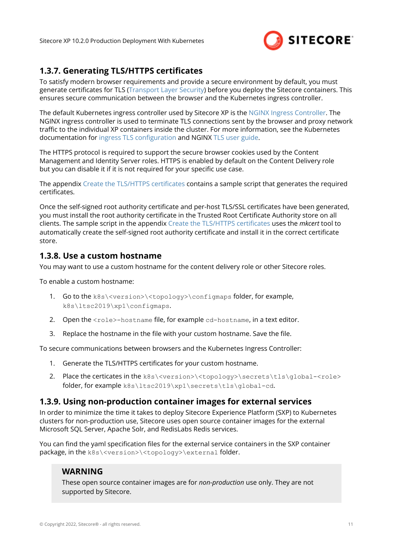

### <span id="page-10-0"></span>**1.3.7. Generating TLS/HTTPS certificates**

To satisfy modern browser requirements and provide a secure environment by default, you must generate certificates for TLS [\(Transport Layer Security](https://en.wikipedia.org/wiki/Transport_Layer_Security)) before you deploy the Sitecore containers. This ensures secure communication between the browser and the Kubernetes ingress controller.

The default Kubernetes ingress controller used by Sitecore XP is the [NGINX Ingress Controller.](https://www.nginx.com/products/nginx/kubernetes-ingress-controller/) The NGINX ingress controller is used to terminate TLS connections sent by the browser and proxy network traffic to the individual XP containers inside the cluster. For more information, see the Kubernetes documentation for [ingress TLS configuration](https://kubernetes.io/docs/concepts/services-networking/ingress/#tls) and NGINX [TLS user guide](https://kubernetes.github.io/ingress-nginx/user-guide/tls/).

The HTTPS protocol is required to support the secure browser cookies used by the Content Management and Identity Server roles. HTTPS is enabled by default on the Content Delivery role but you can disable it if it is not required for your specific use case.

The appendix [Create the TLS/HTTPS certificates](#page-21-0) contains a sample script that generates the required certificates.

Once the self-signed root authority certificate and per-host TLS/SSL certificates have been generated, you must install the root authority certificate in the Trusted Root Certificate Authority store on all clients. The sample script in the appendix [Create the TLS/HTTPS certificates](#page-21-0) uses the *mkcert* tool to automatically create the self-signed root authority certificate and install it in the correct certificate store.

### **1.3.8. Use a custom hostname**

You may want to use a custom hostname for the content delivery role or other Sitecore roles.

To enable a custom hostname:

- 1. Go to the k8s\<version>\<topology>\configmaps folder, for example, k8s\ltsc2019\xp1\configmaps.
- 2. Open the  $\langle \text{role} \rangle$ -hostname file, for example  $\text{cd-hostname}$ , in a text editor.
- 3. Replace the hostname in the file with your custom hostname. Save the file.

To secure communications between browsers and the Kubernetes Ingress Controller:

- 1. Generate the TLS/HTTPS certificates for your custom hostname.
- 2. Place the certicates in the k8s\<version>\<topology>\secrets\tls\global-<role> folder, for example k8s\ltsc2019\xp1\secrets\tls\global-cd.

### **1.3.9. Using non-production container images for external services**

In order to minimize the time it takes to deploy Sitecore Experience Platform (SXP) to Kubernetes clusters for non-production use, Sitecore uses open source container images for the external Microsoft SQL Server, Apache Solr, and RedisLabs Redis services.

You can find the yaml specification files for the external service containers in the SXP container package, in the k8s\<version>\<topology>\external folder.

### **WARNING**

These open source container images are for *non-production* use only. They are not supported by Sitecore.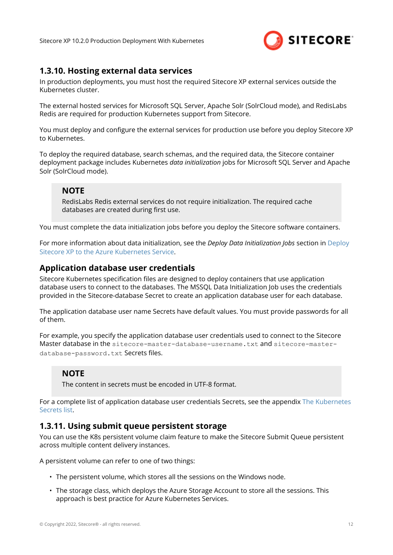

### <span id="page-11-0"></span>**1.3.10. Hosting external data services**

In production deployments, you must host the required Sitecore XP external services outside the Kubernetes cluster.

The external hosted services for Microsoft SQL Server, Apache Solr (SolrCloud mode), and RedisLabs Redis are required for production Kubernetes support from Sitecore.

You must deploy and configure the external services for production use before you deploy Sitecore XP to Kubernetes.

To deploy the required database, search schemas, and the required data, the Sitecore container deployment package includes Kubernetes *data initialization* jobs for Microsoft SQL Server and Apache Solr (SolrCloud mode).

### **NOTE**

RedisLabs Redis external services do not require initialization. The required cache databases are created during first use.

You must complete the data initialization jobs before you deploy the Sitecore software containers.

For more information about data initialization, see the *Deploy Data Initialization Jobs* section in [Deploy](#page-13-0) [Sitecore XP to the Azure Kubernetes Service.](#page-13-0)

### **Application database user credentials**

Sitecore Kubernetes specification files are designed to deploy containers that use application database users to connect to the databases. The MSSQL Data Initialization Job uses the credentials provided in the Sitecore-database Secret to create an application database user for each database.

The application database user name Secrets have default values. You must provide passwords for all of them.

For example, you specify the application database user credentials used to connect to the Sitecore Master database in the sitecore-master-database-username.txt and sitecore-masterdatabase-password.txt Secrets files.

### **NOTE**

The content in secrets must be encoded in UTF-8 format.

For a complete list of application database user credentials Secrets, see the appendix [The Kubernetes](#page-22-0) [Secrets list.](#page-22-0)

### **1.3.11. Using submit queue persistent storage**

You can use the K8s persistent volume claim feature to make the Sitecore Submit Queue persistent across multiple content delivery instances.

A persistent volume can refer to one of two things:

- The persistent volume, which stores all the sessions on the Windows node.
- The storage class, which deploys the Azure Storage Account to store all the sessions. This approach is best practice for Azure Kubernetes Services.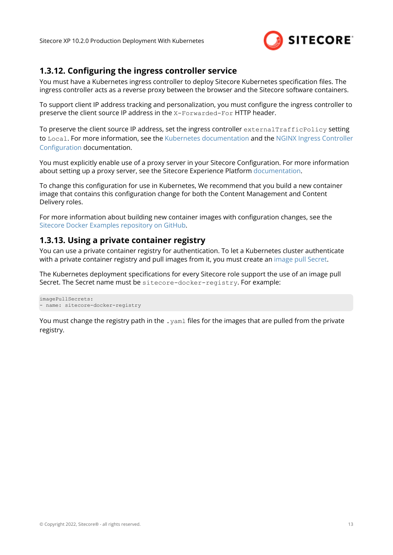

### <span id="page-12-0"></span>**1.3.12. Configuring the ingress controller service**

You must have a Kubernetes ingress controller to deploy Sitecore Kubernetes specification files. The ingress controller acts as a reverse proxy between the browser and the Sitecore software containers.

To support client IP address tracking and personalization, you must configure the ingress controller to preserve the client source IP address in the X-Forwarded-For HTTP header.

To preserve the client source IP address, set the ingress controller externalTrafficPolicy setting to Local. For more information, see the [Kubernetes documentation](https://kubernetes.io/docs/tasks/access-application-cluster/create-external-load-balancer/#preserving-the-client-source-ip) and the [NGINX Ingress Controller](https://github.com/helm/charts/tree/master/stable/nginx-ingress#configuration) [Configuration](https://github.com/helm/charts/tree/master/stable/nginx-ingress#configuration) documentation.

You must explicitly enable use of a proxy server in your Sitecore Configuration. For more information about setting up a proxy server, see the Sitecore Experience Platform [documentation.](https://doc.sitecore.com/developers/102/sitecore-experience-manager/en/set-up-sitecore-ip-geolocation.html#UUID-228255d4-61ab-01c2-6c6b-cc14bc9f164a_N1542749891951)

To change this configuration for use in Kubernetes, We recommend that you build a new container image that contains this configuration change for both the Content Management and Content Delivery roles.

For more information about building new container images with configuration changes, see the [Sitecore Docker Examples repository on GitHub](https://github.com/Sitecore/docker-examples).

### **1.3.13. Using a private container registry**

You can use a private container registry for authentication. To let a Kubernetes cluster authenticate with a private container registry and pull images from it, you must create an [image pull Secret](https://kubernetes.io/docs/tasks/configure-pod-container/pull-image-private-registry/).

The Kubernetes deployment specifications for every Sitecore role support the use of an image pull Secret. The Secret name must be sitecore-docker-registry. For example:

imagePullSecrets: - name: sitecore-docker-registry

You must change the registry path in the . yaml files for the images that are pulled from the private registry.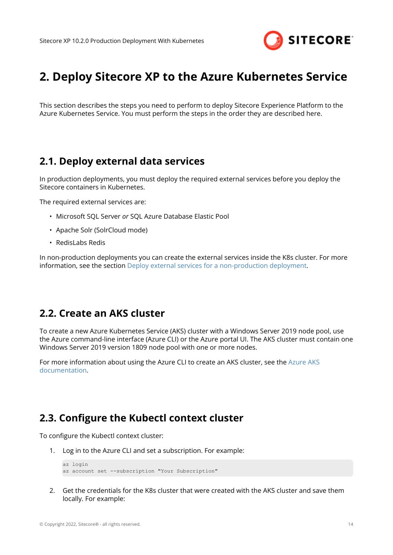

# <span id="page-13-0"></span>**2. Deploy Sitecore XP to the Azure Kubernetes Service**

This section describes the steps you need to perform to deploy Sitecore Experience Platform to the Azure Kubernetes Service. You must perform the steps in the order they are described here.

### **2.1. Deploy external data services**

In production deployments, you must deploy the required external services before you deploy the Sitecore containers in Kubernetes.

The required external services are:

- Microsoft SQL Server *or* SQL Azure Database Elastic Pool
- Apache Solr (SolrCloud mode)
- RedisLabs Redis

In non-production deployments you can create the external services inside the K8s cluster. For more information, see the section [Deploy external services for a non-production deployment](#page-15-0).

### **2.2. Create an AKS cluster**

To create a new Azure Kubernetes Service (AKS) cluster with a Windows Server 2019 node pool, use the Azure command-line interface (Azure CLI) or the Azure portal UI. The AKS cluster must contain one Windows Server 2019 version 1809 node pool with one or more nodes.

For more information about using the Azure CLI to create an AKS cluster, see the [Azure AKS](https://docs.microsoft.com/en-us/azure/aks/windows-container-cli) [documentation](https://docs.microsoft.com/en-us/azure/aks/windows-container-cli).

### **2.3. Configure the Kubectl context cluster**

To configure the Kubectl context cluster:

1. Log in to the Azure CLI and set a subscription. For example:

```
az login 
az account set --subscription "Your Subscription"
```
2. Get the credentials for the K8s cluster that were created with the AKS cluster and save them locally. For example: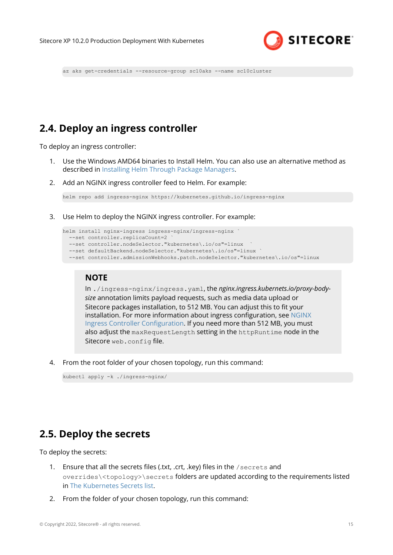

```
az aks get-credentials --resource-group sc10aks --name sc10cluster
```
# **2.4. Deploy an ingress controller**

To deploy an ingress controller:

- 1. Use the Windows AMD64 binaries to Install Helm. You can also use an alternative method as described in [Installing Helm Through Package Managers.](https://helm.sh/docs/intro/install/)
- 2. Add an NGINX ingress controller feed to Helm. For example:

helm repo add ingress-nginx https://kubernetes.github.io/ingress-nginx

3. Use Helm to deploy the NGINX ingress controller. For example:

```
helm install nginx-ingress ingress-nginx/ingress-nginx
   --set controller.replicaCount=2 `
   --set controller.nodeSelector."kubernetes\.io/os"=linux `
   --set defaultBackend.nodeSelector."kubernetes\.io/os"=linux `
   --set controller.admissionWebhooks.patch.nodeSelector."kubernetes\.io/os"=linux
```
### **NOTE**

In ./ingress-nginx/ingress.yaml, the *nginx.ingress.kubernets.io/proxy-bodysize* annotation limits payload requests, such as media data upload or Sitecore packages installation, to 512 MB. You can adjust this to fit your installation. For more information about ingress configuration, see [NGINX](https://github.com/helm/charts/tree/master/stable/nginx-ingress#configuration) [Ingress Controller Configuration](https://github.com/helm/charts/tree/master/stable/nginx-ingress#configuration). If you need more than 512 MB, you must also adjust the maxRequestLength setting in the httpRuntime node in the Sitecore web.config file.

4. From the root folder of your chosen topology, run this command:

kubectl apply -k ./ingress-nginx/

# **2.5. Deploy the secrets**

To deploy the secrets:

- 1. Ensure that all the secrets files (.txt, .crt, .key) files in the /secrets and overrides\<topology>\secrets folders are updated according to the requirements listed in [The Kubernetes Secrets list](#page-22-0).
- 2. From the folder of your chosen topology, run this command: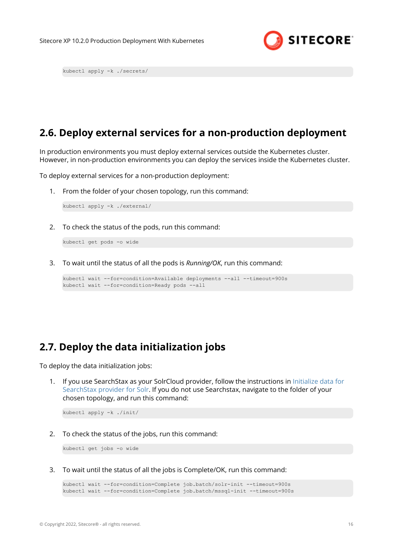

```
kubectl apply -k ./secrets/
```
# **2.6. Deploy external services for a non-production deployment**

In production environments you must deploy external services outside the Kubernetes cluster. However, in non-production environments you can deploy the services inside the Kubernetes cluster.

To deploy external services for a non-production deployment:

1. From the folder of your chosen topology, run this command:

kubectl apply -k ./external/

2. To check the status of the pods, run this command:

kubectl get pods -o wide

3. To wait until the status of all the pods is *Running/OK*, run this command:

```
kubectl wait --for=condition=Available deployments --all --timeout=900s
kubectl wait --for=condition=Ready pods --all
```
# **2.7. Deploy the data initialization jobs**

To deploy the data initialization jobs:

1. If you use SearchStax as your SolrCloud provider, follow the instructions in [Initialize data for](#page-22-0) [SearchStax provider for Solr](#page-22-0). If you do not use Searchstax, navigate to the folder of your chosen topology, and run this command:

kubectl apply -k ./init/

2. To check the status of the jobs, run this command:

kubectl get jobs -o wide

3. To wait until the status of all the jobs is Complete/OK, run this command:

```
kubectl wait --for=condition=Complete job.batch/solr-init --timeout=900s
kubectl wait --for=condition=Complete job.batch/mssql-init --timeout=900s
```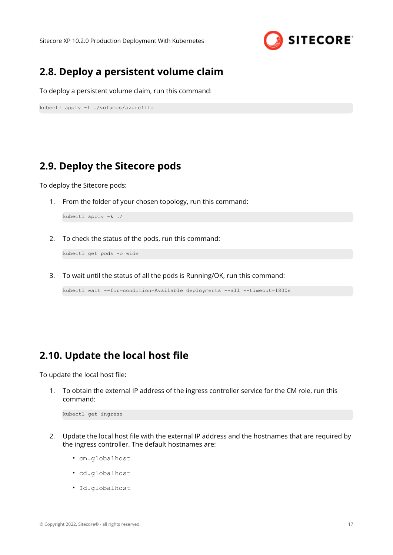

# <span id="page-16-0"></span>**2.8. Deploy a persistent volume claim**

To deploy a persistent volume claim, run this command:

kubectl apply -f ./volumes/azurefile

# **2.9. Deploy the Sitecore pods**

To deploy the Sitecore pods:

1. From the folder of your chosen topology, run this command:

```
kubectl apply -k ./
```
2. To check the status of the pods, run this command:

kubectl get pods -o wide

3. To wait until the status of all the pods is Running/OK, run this command:

kubectl wait --for=condition=Available deployments --all --timeout=1800s

# **2.10. Update the local host file**

To update the local host file:

1. To obtain the external IP address of the ingress controller service for the CM role, run this command:

kubectl get ingress

- 2. Update the local host file with the external IP address and the hostnames that are required by the ingress controller. The default hostnames are:
	- cm.globalhost
	- cd.globalhost
	- Id.globalhost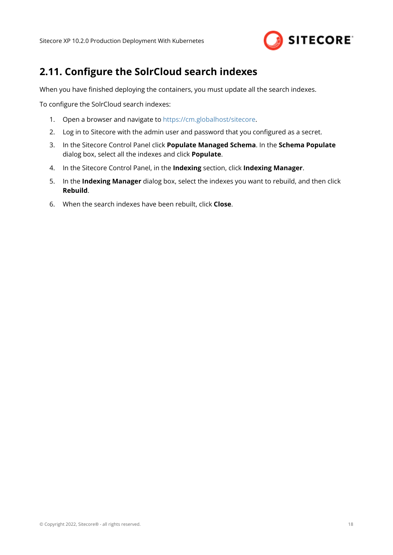

# <span id="page-17-0"></span>**2.11. Configure the SolrCloud search indexes**

When you have finished deploying the containers, you must update all the search indexes.

To configure the SolrCloud search indexes:

- 1. Open a browser and navigate to<https://cm.globalhost/sitecore>.
- 2. Log in to Sitecore with the admin user and password that you configured as a secret.
- 3. In the Sitecore Control Panel click **Populate Managed Schema**. In the **Schema Populate** dialog box, select all the indexes and click **Populate**.
- 4. In the Sitecore Control Panel, in the **Indexing** section, click **Indexing Manager**.
- 5. In the **Indexing Manager** dialog box, select the indexes you want to rebuild, and then click **Rebuild**.
- 6. When the search indexes have been rebuilt, click **Close**.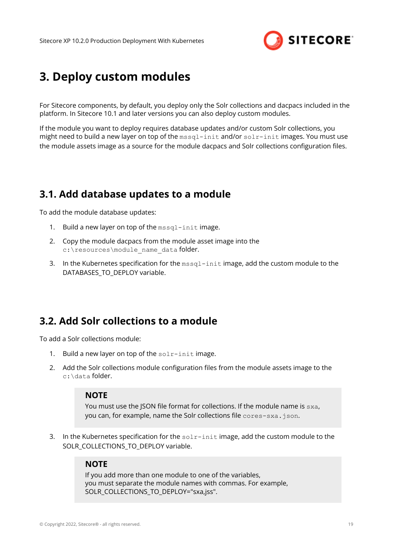

# <span id="page-18-0"></span>**3. Deploy custom modules**

For Sitecore components, by default, you deploy only the Solr collections and dacpacs included in the platform. In Sitecore 10.1 and later versions you can also deploy custom modules.

If the module you want to deploy requires database updates and/or custom Solr collections, you might need to build a new layer on top of the mssql-init and/or solr-init images. You must use the module assets image as a source for the module dacpacs and Solr collections configuration files.

# **3.1. Add database updates to a module**

To add the module database updates:

- 1. Build a new layer on top of the mssql-init image.
- 2. Copy the module dacpacs from the module asset image into the c:\resources\module\_name\_data folder.
- 3. In the Kubernetes specification for the  $msq1 init$  image, add the custom module to the DATABASES TO DEPLOY variable.

## **3.2. Add Solr collections to a module**

To add a Solr collections module:

- 1. Build a new layer on top of the  $solar-int$  image.
- 2. Add the Solr collections module configuration files from the module assets image to the c:\data folder.

#### **NOTE**

You must use the JSON file format for collections. If the module name is sxa, you can, for example, name the Solr collections file cores-sxa.json.

3. In the Kubernetes specification for the  $\text{softmax}$  init image, add the custom module to the SOLR COLLECTIONS TO DEPLOY variable.

#### **NOTE**

If you add more than one module to one of the variables, you must separate the module names with commas. For example, SOLR\_COLLECTIONS\_TO\_DEPLOY="sxa,jss".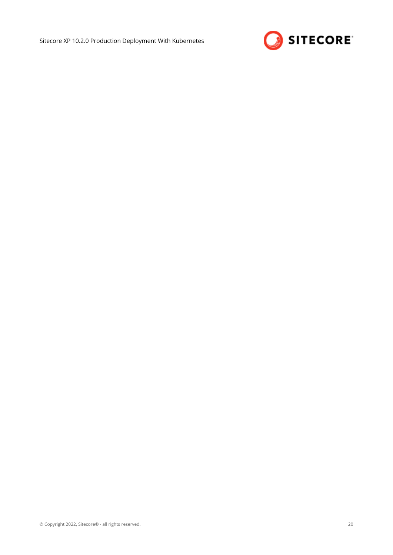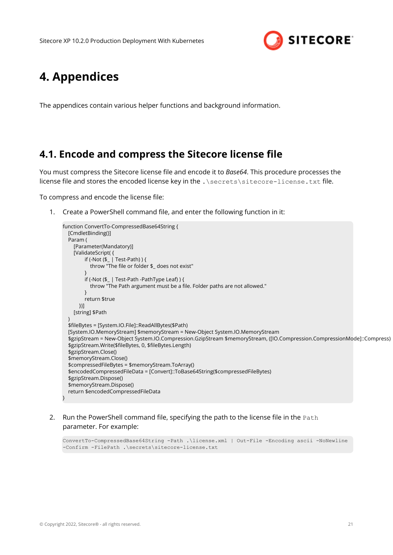

# <span id="page-20-0"></span>**4. Appendices**

The appendices contain various helper functions and background information.

## **4.1. Encode and compress the Sitecore license file**

You must compress the Sitecore license file and encode it to *Base64*. This procedure processes the license file and stores the encoded license key in the .\secrets\sitecore-license.txt file.

To compress and encode the license file:

1. Create a PowerShell command file, and enter the following function in it:

```
function ConvertTo-CompressedBase64String {
   [CmdletBinding()]
   Param (
     [Parameter(Mandatory)]
     [ValidateScript( {
         if (-Not ($_ | Test-Path) ) {
           throw "The file or folder $_ does not exist"
 }
         if (-Not ($_ | Test-Path -PathType Leaf) ) {
           throw "The Path argument must be a file. Folder paths are not allowed."
         }
         return $true
       })]
     [string] $Path
   )
   $fileBytes = [System.IO.File]::ReadAllBytes($Path)
   [System.IO.MemoryStream] $memoryStream = New-Object System.IO.MemoryStream
   $gzipStream = New-Object System.IO.Compression.GzipStream $memoryStream, ([IO.Compression.CompressionMode]::Compress)
   $gzipStream.Write($fileBytes, 0, $fileBytes.Length)
   $gzipStream.Close()
   $memoryStream.Close()
   $compressedFileBytes = $memoryStream.ToArray()
   $encodedCompressedFileData = [Convert]::ToBase64String($compressedFileBytes)
  $gzipStream.Dispose()
   $memoryStream.Dispose()
   return $encodedCompressedFileData
}
```
2. Run the PowerShell command file, specifying the path to the license file in the Path parameter. For example:

ConvertTo-CompressedBase64String -Path .\license.xml | Out-File -Encoding ascii -NoNewline -Confirm -FilePath .\secrets\sitecore-license.txt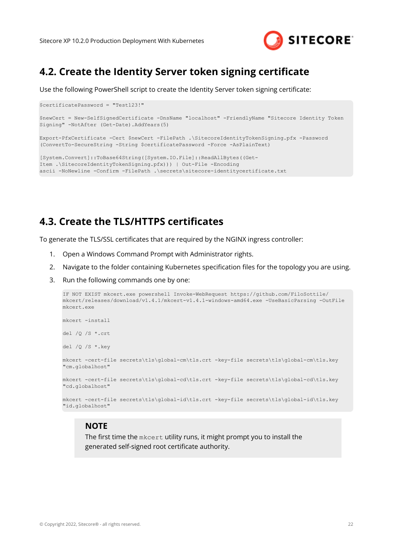

### <span id="page-21-0"></span>**4.2. Create the Identity Server token signing certificate**

Use the following PowerShell script to create the Identity Server token signing certificate:

```
$certificatePassword = "Test123!"
$newCert = New-SelfSignedCertificate -DnsName "localhost" -FriendlyName "Sitecore Identity Token 
Signing" -NotAfter (Get-Date).AddYears(5)
Export-PfxCertificate -Cert $newCert -FilePath .\SitecoreIdentityTokenSigning.pfx -Password 
(ConvertTo-SecureString -String $certificatePassword -Force -AsPlainText)
[System.Convert]::ToBase64String([System.IO.File]::ReadAllBytes((Get-
Item .\SitecoreIdentityTokenSigning.pfx))) | Out-File -Encoding
```
### **4.3. Create the TLS/HTTPS certificates**

To generate the TLS/SSL certificates that are required by the NGINX ingress controller:

ascii -NoNewline -Confirm -FilePath .\secrets\sitecore-identitycertificate.txt

- 1. Open a Windows Command Prompt with Administrator rights.
- 2. Navigate to the folder containing Kubernetes specification files for the topology you are using.
- 3. Run the following commands one by one:

```
IF NOT EXIST mkcert.exe powershell Invoke-WebRequest https://github.com/FiloSottile/
mkcert/releases/download/v1.4.1/mkcert-v1.4.1-windows-amd64.exe -UseBasicParsing -OutFile 
mkcert.exe
mkcert -install
del /Q /S *.crt
del /Q /S *.key
mkcert -cert-file secrets\tls\global-cm\tls.crt -key-file secrets\tls\global-cm\tls.key 
"cm.globalhost"
mkcert -cert-file secrets\tls\global-cd\tls.crt -key-file secrets\tls\global-cd\tls.key 
"cd.globalhost"
mkcert -cert-file secrets\tls\global-id\tls.crt -key-file secrets\tls\global-id\tls.key 
"id.globalhost"
```
### **NOTE**

The first time the mkcert utility runs, it might prompt you to install the generated self-signed root certificate authority.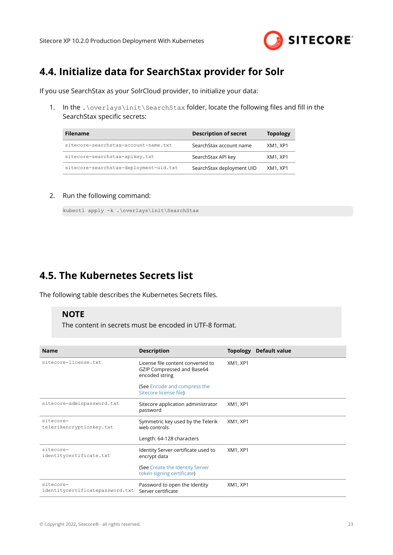

# <span id="page-22-0"></span>**4.4. Initialize data for SearchStax provider for Solr**

If you use SearchStax as your SolrCloud provider, to initialize your data:

1. In the .\overlays\init\SearchStax folder, locate the following files and fill in the SearchStax specific secrets:

| <b>Filename</b>                        | <b>Description of secret</b> | <b>Topology</b> |
|----------------------------------------|------------------------------|-----------------|
| sitecore-searchstax-account-name.txt   | SearchStax account name      | XM1, XP1        |
| sitecore-searchstax-apikey.txt         | SearchStax API key           | XM1, XP1        |
| sitecore-searchstax-deployment-uid.txt | SearchStax deployment UID    | XM1, XP1        |

2. Run the following command:

```
kubectl apply -k .\overlays\init\SearchStax
```
## **4.5. The Kubernetes Secrets list**

The following table describes the Kubernetes Secrets files.

### **NOTE**

The content in secrets must be encoded in UTF-8 format.

| <b>Name</b>                                  | <b>Description</b>                                                                | <b>Topology</b> | Default value |
|----------------------------------------------|-----------------------------------------------------------------------------------|-----------------|---------------|
| sitecore-license.txt                         | License file content converted to<br>GZIP Compressed and Base64<br>encoded string | XM1, XP1        |               |
|                                              | (See Encode and compress the<br>Sitecore license file)                            |                 |               |
| sitecore-adminpassword.txt                   | Sitecore application administrator<br>password                                    | XM1, XP1        |               |
| sitecore-<br>telerikencryptionkey.txt        | Symmetric key used by the Telerik<br>web controls                                 | <b>XM1, XP1</b> |               |
|                                              | Length: 64-128 characters                                                         |                 |               |
| sitecore-<br>identitycertificate.txt         | Identity Server certificate used to<br>encrypt data                               | XM1, XP1        |               |
|                                              | (See Create the Identity Server<br>token signing certificate)                     |                 |               |
| sitecore-<br>identitycertificatepassword.txt | Password to open the Identity<br>Server certificate                               | XM1, XP1        |               |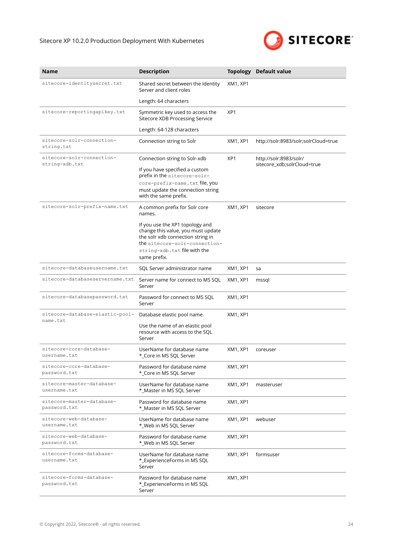

| Name                                        | <b>Description</b>                                                                                         |                 | <b>Topology</b> Default value                         |
|---------------------------------------------|------------------------------------------------------------------------------------------------------------|-----------------|-------------------------------------------------------|
| sitecore-identitysecret.txt                 | Shared secret between the Identity<br>Server and client roles                                              | <b>XM1, XP1</b> |                                                       |
|                                             | Length: 64 characters                                                                                      |                 |                                                       |
| sitecore-reportingapikey.txt                | Symmetric key used to access the<br>Sitecore XDB Processing Service                                        | XP <sub>1</sub> |                                                       |
|                                             | Length: 64-128 characters                                                                                  |                 |                                                       |
| sitecore-solr-connection-<br>string.txt     | Connection string to Solr                                                                                  | XM1, XP1        | http://solr:8983/solr;solrCloud=true                  |
| sitecore-solr-connection-<br>string-xdb.txt | Connection string to Solr-xdb                                                                              | XP <sub>1</sub> | http://solr:8983/solr/<br>sitecore_xdb;solrCloud=true |
|                                             | If you have specified a custom<br>prefix in the sitecore-solr-                                             |                 |                                                       |
|                                             | core-prefix-name.txt file, you                                                                             |                 |                                                       |
|                                             | must update the connection string<br>with the same prefix.                                                 |                 |                                                       |
| sitecore-solr-prefix-name.txt               | A common prefix for Solr core<br>names.                                                                    | XM1, XP1        | sitecore                                              |
|                                             | If you use the XP1 topology and<br>change this value, you must update<br>the solr xdb connection string in |                 |                                                       |
|                                             | the sitecore-solr-connection-                                                                              |                 |                                                       |
|                                             | string-xdb.txt file with the<br>same prefix.                                                               |                 |                                                       |
| sitecore-databaseusername.txt               | SQL Server administrator name                                                                              | XM1, XP1        | sa                                                    |
| sitecore-databaseservername.txt             | Server name for connect to MS SQL<br>Server                                                                | XM1, XP1        | mssql                                                 |
| sitecore-databasepassword.txt               | Password for connect to MS SQL<br>Server                                                                   | <b>XM1, XP1</b> |                                                       |
| sitecore-database-elastic-pool-<br>name.txt | Database elastic pool name.                                                                                | <b>XM1, XP1</b> |                                                       |
|                                             | Use the name of an elastic pool<br>resource with access to the SQL<br>Server                               |                 |                                                       |
| sitecore-core-database-<br>username.txt     | UserName for database name<br>* Core in MS SQL Server                                                      | XM1, XP1        | coreuser                                              |
| sitecore-core-database-<br>password.txt     | Password for database name<br>* Core in MS SQL Server                                                      | XM1, XP1        |                                                       |
| sitecore-master-database-<br>username.txt   | UserName for database name<br>*_Master in MS SQL Server                                                    | XM1, XP1        | masteruser                                            |
| sitecore-master-database-<br>password.txt   | Password for database name<br>* Master in MS SQL Server                                                    | XM1, XP1        |                                                       |
| sitecore-web-database-<br>username.txt      | UserName for database name<br>* Web in MS SQL Server                                                       | XM1, XP1        | webuser                                               |
| sitecore-web-database-<br>password.txt      | Password for database name<br>* Web in MS SQL Server                                                       | XM1, XP1        |                                                       |
| sitecore-forms-database-<br>username.txt    | UserName for database name<br>*_ExperienceForms in MS SQL<br>Server                                        | XM1, XP1        | formsuser                                             |
| sitecore-forms-database-<br>password.txt    | Password for database name<br>*_ExperienceForms in MS SQL<br>Server                                        | XM1, XP1        |                                                       |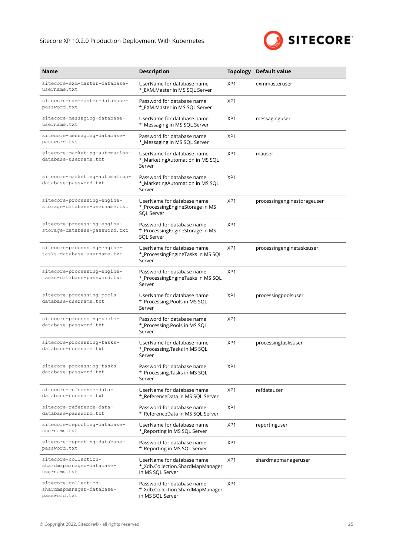### Sitecore XP 10.2.0 Production Deployment With Kubernetes



| <b>Name</b>                                                       | <b>Description</b>                                                                 | <b>Topology</b> | <b>Default value</b>        |
|-------------------------------------------------------------------|------------------------------------------------------------------------------------|-----------------|-----------------------------|
| sitecore-exm-master-database-<br>username.txt                     | UserName for database name<br>* EXM.Master in MS SQL Server                        | XP <sub>1</sub> | exmmasteruser               |
| sitecore-exm-master-database-<br>password.txt                     | Password for database name<br>* EXM.Master in MS SQL Server                        | XP <sub>1</sub> |                             |
| sitecore-messaging-database-<br>username.txt                      | UserName for database name<br>* Messaging in MS SQL Server                         | XP <sub>1</sub> | messaginguser               |
| sitecore-messaging-database-<br>password.txt                      | Password for database name<br>* Messaging in MS SQL Server                         | XP <sub>1</sub> |                             |
| sitecore-marketing-automation-<br>database-username.txt           | UserName for database name<br>*_MarketingAutomation in MS SQL<br>Server            | XP <sub>1</sub> | mauser                      |
| sitecore-marketing-automation-<br>database-password.txt           | Password for database name<br>*_MarketingAutomation in MS SQL<br>Server            | XP <sub>1</sub> |                             |
| sitecore-processing-engine-<br>storage-database-username.txt      | UserName for database name<br>*_ProcessingEngineStorage in MS<br><b>SQL Server</b> | XP <sub>1</sub> | processingenginestorageuser |
| sitecore-processing-engine-<br>storage-database-password.txt      | Password for database name<br>*_ProcessingEngineStorage in MS<br><b>SQL Server</b> | XP <sub>1</sub> |                             |
| sitecore-processing-engine-<br>tasks-database-username.txt        | UserName for database name<br>*_ProcessingEngineTasks in MS SQL<br>Server          | XP <sub>1</sub> | processingenginetasksuser   |
| sitecore-processing-engine-<br>tasks-database-password.txt        | Password for database name<br>*_ProcessingEngineTasks in MS SQL<br>Server          | XP1             |                             |
| sitecore-processing-pools-<br>database-username.txt               | UserName for database name<br>*_Processing.Pools in MS SQL<br>Server               | XP <sub>1</sub> | processingpoolsuser         |
| sitecore-processing-pools-<br>database-password.txt               | Password for database name<br>*_Processing.Pools in MS SQL<br>Server               | XP <sub>1</sub> |                             |
| sitecore-processing-tasks-<br>database-username.txt               | UserName for database name<br>*_Processing.Tasks in MS SQL<br>Server               | XP <sub>1</sub> | processingtasksuser         |
| sitecore-processing-tasks-<br>database-password.txt               | Password for database name<br>*_Processing.Tasks in MS SQL<br>Server               | XP1             |                             |
| sitecore-reference-data-<br>database-username.txt                 | UserName for database name<br>* ReferenceData in MS SQL Server                     | XP <sub>1</sub> | refdatauser                 |
| sitecore-reference-data-<br>database-password.txt                 | Password for database name<br>* ReferenceData in MS SQL Server                     | XP1             |                             |
| sitecore-reporting-database-<br>username.txt                      | UserName for database name<br>*_Reporting in MS SQL Server                         | XP1             | reportinguser               |
| sitecore-reporting-database-<br>password.txt                      | Password for database name<br>*_Reporting in MS SQL Server                         | XP <sub>1</sub> |                             |
| sitecore-collection-<br>shardmapmanager-database-<br>username.txt | UserName for database name<br>*_Xdb.Collection.ShardMapManager<br>in MS SQL Server | XP1             | shardmapmanageruser         |
| sitecore-collection-<br>shardmapmanager-database-<br>password.txt | Password for database name<br>*_Xdb.Collection.ShardMapManager<br>in MS SQL Server | XP <sub>1</sub> |                             |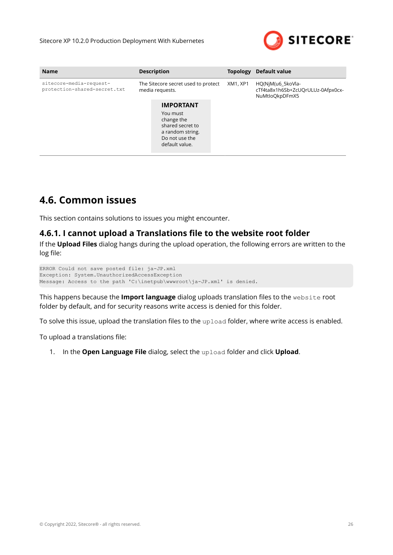

<span id="page-25-0"></span>

| <b>Name</b>                                             | <b>Description</b>                                                                                                     | <b>Topology</b> | Default value                                                            |  |
|---------------------------------------------------------|------------------------------------------------------------------------------------------------------------------------|-----------------|--------------------------------------------------------------------------|--|
| sitecore-media-request-<br>protection-shared-secret.txt | The Sitecore secret used to protect<br>media requests.                                                                 | XM1, XP1        | HQ(NjM(u6_5koVla-<br>cTf4ta8x1h6Sb+ZcUQrULUz-0Afpx0cx-<br>NuMtloQkpDFmX5 |  |
|                                                         | <b>IMPORTANT</b><br>You must<br>change the<br>shared secret to<br>a random string.<br>Do not use the<br>default value. |                 |                                                                          |  |

# **4.6. Common issues**

This section contains solutions to issues you might encounter.

### **4.6.1. I cannot upload a Translations file to the website root folder**

If the **Upload Files** dialog hangs during the upload operation, the following errors are written to the log file:

```
ERROR Could not save posted file: ja-JP.xml
Exception: System.UnauthorizedAccessException
Message: Access to the path 'C:\inetpub\wwwroot\ja-JP.xml' is denied.
```
This happens because the **Import language** dialog uploads translation files to the website root folder by default, and for security reasons write access is denied for this folder.

To solve this issue, upload the translation files to the upload folder, where write access is enabled.

To upload a translations file:

1. In the **Open Language File** dialog, select the upload folder and click **Upload**.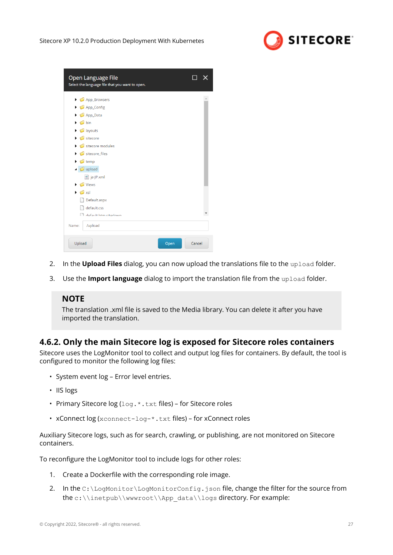

<span id="page-26-0"></span>

| Open Language File<br>Select the language file that you want to open.                                                                                                                                                                                                                                                                                                                                                                                                                                                                                                    |        |  |
|--------------------------------------------------------------------------------------------------------------------------------------------------------------------------------------------------------------------------------------------------------------------------------------------------------------------------------------------------------------------------------------------------------------------------------------------------------------------------------------------------------------------------------------------------------------------------|--------|--|
| App_Browsers<br>$\triangleright$ $\blacksquare$ App_Config<br>$\triangleright$ $\blacksquare$ App_Data<br>$\triangleright$ $\blacksquare$ bin<br>$\triangleright$ $\blacksquare$ layouts<br>$\triangleright$ $\blacksquare$ sitecore<br>sitecore modules<br>٠<br>$\triangleright$ $\blacksquare$ sitecore_files<br>$\triangleright$ $\blacksquare$ temp<br>$\triangleleft$ $\Box$ upload<br>≌ ja-JP.xml<br>$\triangleright$ $\blacksquare$ Views<br>$\triangleright$ $\blacksquare$ xsl<br>Default.aspx<br>default.css<br>And a default htm citadown<br>/upload<br>Name: |        |  |
| Upload<br>Open                                                                                                                                                                                                                                                                                                                                                                                                                                                                                                                                                           | Cancel |  |

- 2. In the **Upload Files** dialog, you can now upload the translations file to the upload folder.
- 3. Use the **Import language** dialog to import the translation file from the upload folder.

### **NOTE**

The translation .xml file is saved to the Media library. You can delete it after you have imported the translation.

### **4.6.2. Only the main Sitecore log is exposed for Sitecore roles containers**

Sitecore uses the LogMonitor tool to collect and output log files for containers. By default, the tool is configured to monitor the following log files:

- System event log Error level entries.
- IIS logs
- Primary Sitecore  $log (log.*.txt$  files) for Sitecore roles
- xConnect log (xconnect-log-\*.txt files) for xConnect roles

Auxiliary Sitecore logs, such as for search, crawling, or publishing, are not monitored on Sitecore containers.

To reconfigure the LogMonitor tool to include logs for other roles:

- 1. Create a Dockerfile with the corresponding role image.
- 2. In the  $C:\L{logMonitor}\L{odMonitorConfia, ison file, change the filter for the source from}$ the c:\\inetpub\\wwwroot\\App\_data\\logs directory. For example: